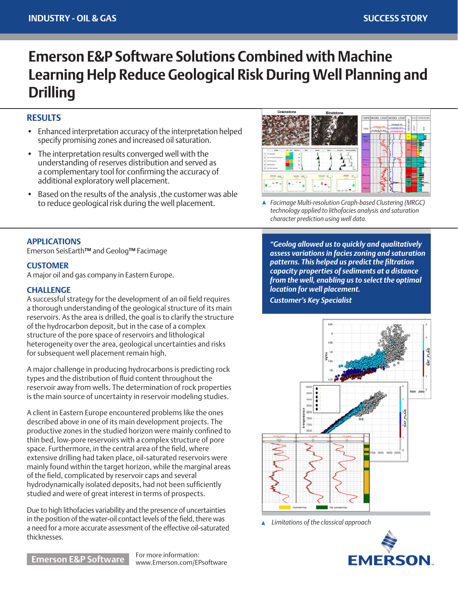# **Emerson E&P Software Solutions Combined with Machine Learning Help Reduce Geological Risk During Well Planning and Drilling**

## **RESULTS**

- Enhanced interpretation accuracy of the interpretation helped specify promising zones and increased oil saturation.
- The interpretation results converged well with the understanding of reserves distribution and served as a complementary tool for confirming the accuracy of additional exploratory well placement.
- Based on the results of the analysis ,the customer was able to reduce geological risk during the well placement.



*Facimage Multi-resolution Graph-based Clustering (MRGC) technology applied to lithofacies analysis and saturation character prediction using well data.*

#### **APPLICATIONS**

Emerson SeisEarth**™** and Geolog**™** Facimage

#### **CUSTOMER**

A major oil and gas company in Eastern Europe.

#### **CHALLENGE**

A successful strategy for the development of an oil field requires a thorough understanding of the geological structure of its main reservoirs. As the area is drilled, the goal is to clarify the structure of the hydrocarbon deposit, but in the case of a complex structure of the pore space of reservoirs and lithological heterogeneity over the area, geological uncertainties and risks for subsequent well placement remain high.

A major challenge in producing hydrocarbons is predicting rock types and the distribution of fluid content throughout the reservoir away from wells. The determination of rock properties is the main source of uncertainty in reservoir modeling studies.

A client in Eastern Europe encountered problems like the ones described above in one of its main development projects. The productive zones in the studied horizon were mainly confined to thin bed, low-pore reservoirs with a complex structure of pore space. Furthermore, in the central area of the field, where extensive drilling had taken place, oil-saturated reservoirs were mainly found within the target horizon, while the marginal areas of the field, complicated by reservoir caps and several hydrodynamically isolated deposits, had not been sufficiently studied and were of great interest in terms of prospects.

Due to high lithofacies variability and the presence of uncertainties in the position of the water-oil contact levels of the field, there was a need for a more accurate assessment of the effective oil-saturated thicknesses.

*"Geolog allowed us to quickly and qualitatively assess variations in facies zoning and saturation patterns. This helped us predict the filtration capacity properties of sediments at a distance from the well, enabling us to select the optimal location for well placement.*

*Customer's Key Specialist*



*Limitations of the classical approach*



**Emerson E&P Software** For more information:

www.Emerson.com/EPsoftware